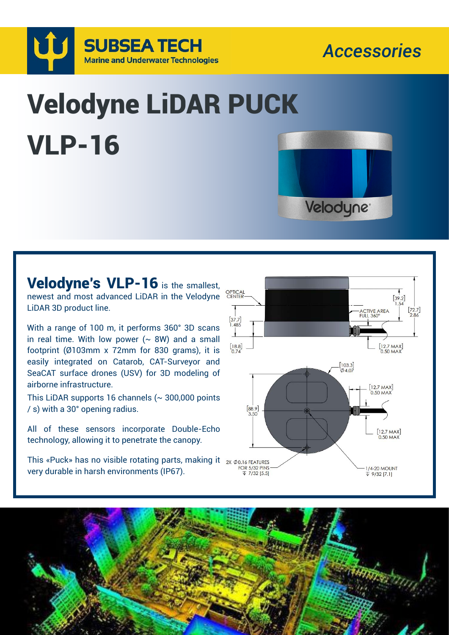

## Velodyne LiDAR PUCK VLP-16



*Accessories*

Velodyne's VLP-16 is the smallest, newest and most advanced LiDAR in the Velodyne LiDAR 3D product line.

With a range of 100 m, it performs 360° 3D scans in real time. With low power  $($   $\sim$  8W) and a small footprint (Ø103mm x 72mm for 830 grams), it is easily integrated on Catarob, CAT-Surveyor and SeaCAT surface drones (USV) for 3D modeling of airborne infrastructure.

This LiDAR supports 16 channels ( $\sim$  300,000 points / s) with a 30° opening radius.

All of these sensors incorporate Double-Echo technology, allowing it to penetrate the canopy.

This «Puck» has no visible rotating parts, making it  $_{2x,00,16}$  reatures very durable in harsh environments (IP67).